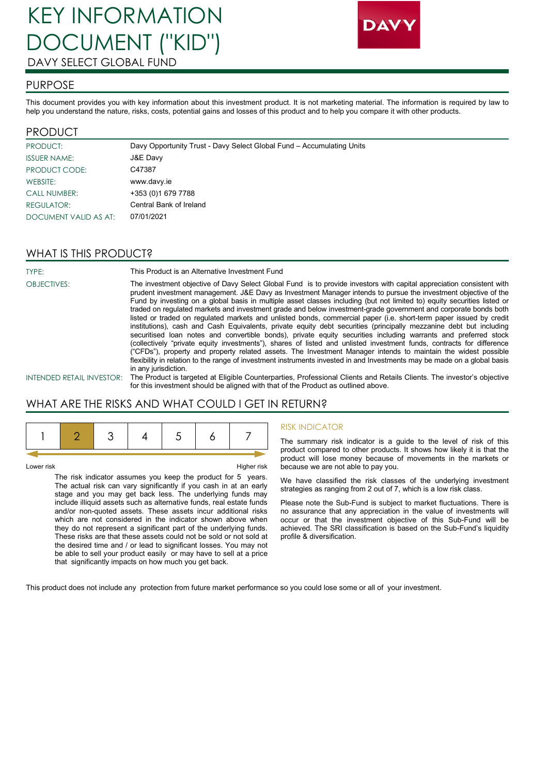# KEY INFORMATION DOCUMENT ("KID") DAVY SELECT GLOBAL FUND



### PURPOSE

This document provides you with key information about this investment product. It is not marketing material. The information is required by law to help you understand the nature, risks, costs, potential gains and losses of this product and to help you compare it with other products.

### PRODUCT

| PRODUCT:              | Davy Opportunity Trust - Davy Select Global Fund - Accumulating Units |
|-----------------------|-----------------------------------------------------------------------|
| <b>ISSUER NAME:</b>   | J&E Davy                                                              |
| PRODUCT CODE:         | C47387                                                                |
| WEBSITE:              | www.davy.ie                                                           |
| <b>CALL NUMBER:</b>   | +353 (0) 1679 7788                                                    |
| REGULATOR:            | Central Bank of Ireland                                               |
| DOCUMENT VALID AS AT: | 07/01/2021                                                            |

# WHAT IS THIS PRODUCT?

TYPE: This Product is an Alternative Investment Fund

OBJECTIVES: The investment objective of Davy Select Global Fund is to provide investors with capital appreciation consistent with prudent investment management. J&E Davy as Investment Manager intends to pursue the investment objective of the Fund by investing on a global basis in multiple asset classes including (but not limited to) equity securities listed or traded on regulated markets and investment grade and below investment-grade government and corporate bonds both listed or traded on regulated markets and unlisted bonds, commercial paper (i.e. short-term paper issued by credit institutions), cash and Cash Equivalents, private equity debt securities (principally mezzanine debt but including securitised loan notes and convertible bonds), private equity securities including warrants and preferred stock (collectively "private equity investments"), shares of listed and unlisted investment funds, contracts for difference ("CFDs"), property and property related assets. The Investment Manager intends to maintain the widest possible flexibility in relation to the range of investment instruments invested in and Investments may be made on a global basis in any jurisdiction.

INTENDED RETAIL INVESTOR: The Product is targeted at Eligible Counterparties, Professional Clients and Retails Clients. The investor's objective for this investment should be aligned with that of the Product as outlined above.

### WHAT ARE THE RISKS AND WHAT COULD I GET IN RETURN?

Lower risk Higher risk The risk indicator assumes you keep the product for 5 years. The actual risk can vary significantly if you cash in at an early stage and you may get back less. The underlying funds may include illiquid assets such as alternative funds, real estate funds and/or non-quoted assets. These assets incur additional risks which are not considered in the indicator shown above when they do not represent a significant part of the underlying funds. These risks are that these assets could not be sold or not sold at the desired time and / or lead to significant losses. You may not be able to sell your product easily or may have to sell at a price that significantly impacts on how much you get back.

### RISK INDICATOR

The summary risk indicator is a guide to the level of risk of this product compared to other products. It shows how likely it is that the product will lose money because of movements in the markets or because we are not able to pay you.

We have classified the risk classes of the underlying investment strategies as ranging from 2 out of 7, which is a low risk class.

Please note the Sub-Fund is subject to market fluctuations. There is no assurance that any appreciation in the value of investments will occur or that the investment objective of this Sub-Fund will be achieved. The SRI classification is based on the Sub-Fund's liquidity profile & diversification.

This product does not include any protection from future market performance so you could lose some or all of your investment.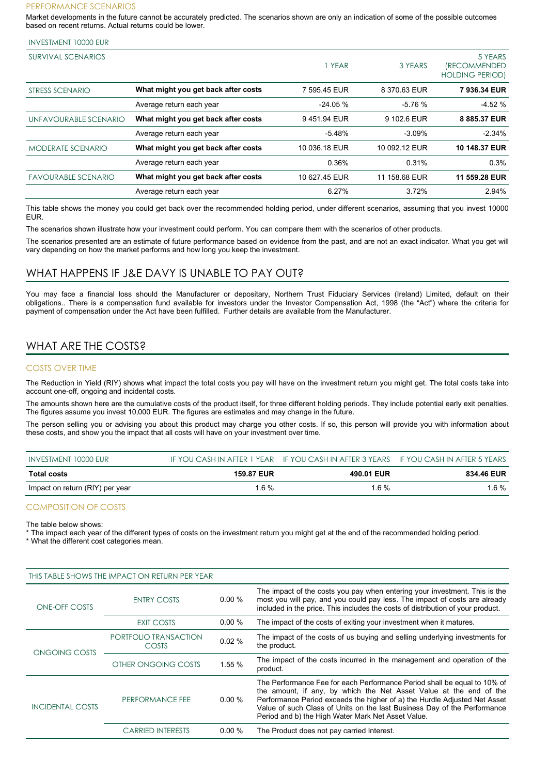#### PERFORMANCE SCENARIOS

Market developments in the future cannot be accurately predicted. The scenarios shown are only an indication of some of the possible outcomes based on recent returns. Actual returns could be lower.

#### INVESTMENT 10000 EUR

| <b>SURVIVAL SCENARIOS</b>  |                                     | YEAR          | 3 YEARS       | 5 YEARS<br><i><b>(RECOMMENDED)</b></i><br><b>HOLDING PERIOD)</b> |
|----------------------------|-------------------------------------|---------------|---------------|------------------------------------------------------------------|
| <b>STRESS SCENARIO</b>     | What might you get back after costs | 7 595.45 EUR  | 8 370.63 EUR  | 7 936.34 EUR                                                     |
|                            | Average return each year            | $-24.05%$     | $-5.76%$      | $-4.52%$                                                         |
| UNFAVOURABLE SCENARIO      | What might you get back after costs | 9451.94 EUR   | 9 102.6 EUR   | 8 885.37 EUR                                                     |
|                            | Average return each year            | $-5.48%$      | $-3.09%$      | $-2.34%$                                                         |
| <b>MODERATE SCENARIO</b>   | What might you get back after costs | 10 036.18 EUR | 10 092.12 EUR | 10 148.37 EUR                                                    |
|                            | Average return each year            | 0.36%         | 0.31%         | 0.3%                                                             |
| <b>FAVOURABLE SCENARIO</b> | What might you get back after costs | 10 627.45 EUR | 11 158.68 EUR | 11 559.28 EUR                                                    |
|                            | Average return each year            | 6.27%         | 3.72%         | 2.94%                                                            |

This table shows the money you could get back over the recommended holding period, under different scenarios, assuming that you invest 10000 EUR.

The scenarios shown illustrate how your investment could perform. You can compare them with the scenarios of other products.

The scenarios presented are an estimate of future performance based on evidence from the past, and are not an exact indicator. What you get will vary depending on how the market performs and how long you keep the investment.

### WHAT HAPPENS IF J&E DAVY IS UNABLE TO PAY OUT?

You may face a financial loss should the Manufacturer or depositary, Northern Trust Fiduciary Services (Ireland) Limited, default on their obligations.. There is a compensation fund available for investors under the Investor Compensation Act, 1998 (the "Act") where the criteria for payment of compensation under the Act have been fulfilled. Further details are available from the Manufacturer.

## WHAT ARE THE COSTS?

### COSTS OVER TIME

The Reduction in Yield (RIY) shows what impact the total costs you pay will have on the investment return you might get. The total costs take into account one-off, ongoing and incidental costs.

The amounts shown here are the cumulative costs of the product itself, for three different holding periods. They include potential early exit penalties. The figures assume you invest 10,000 EUR. The figures are estimates and may change in the future.

The person selling you or advising you about this product may charge you other costs. If so, this person will provide you with information about these costs, and show you the impact that all costs will have on your investment over time.

| INVESTMENT 10000 EUR            |                   | IF YOU CASH IN AFTER 1 YEAR IF YOU CASH IN AFTER 3 YEARS IF YOU CASH IN AFTER 5 YEARS |                   |
|---------------------------------|-------------------|---------------------------------------------------------------------------------------|-------------------|
| <b>Total costs</b>              | <b>159.87 EUR</b> | 490.01 EUR                                                                            | <b>834.46 EUR</b> |
| Impact on return (RIY) per year | 1.6 %             | 1.6 %                                                                                 | 1.6 %             |

### COMPOSITION OF COSTS

The table below shows:

The impact each year of the different types of costs on the investment return you might get at the end of the recommended holding period.

\* What the different cost categories mean.

| THIS TABLE SHOWS THE IMPACT ON RETURN PER YEAR |                                |           |                                                                                                                                                                                                                                                                                                                                                               |  |
|------------------------------------------------|--------------------------------|-----------|---------------------------------------------------------------------------------------------------------------------------------------------------------------------------------------------------------------------------------------------------------------------------------------------------------------------------------------------------------------|--|
| ONE-OFF COSTS                                  | <b>ENTRY COSTS</b>             | $0.00\%$  | The impact of the costs you pay when entering your investment. This is the<br>most you will pay, and you could pay less. The impact of costs are already<br>included in the price. This includes the costs of distribution of your product.                                                                                                                   |  |
|                                                | <b>EXIT COSTS</b>              | $0.00\%$  | The impact of the costs of exiting your investment when it matures.                                                                                                                                                                                                                                                                                           |  |
| ONGOING COSTS                                  | PORTFOLIO TRANSACTION<br>COSTS | 0.02%     | The impact of the costs of us buying and selling underlying investments for<br>the product.                                                                                                                                                                                                                                                                   |  |
|                                                | OTHER ONGOING COSTS            | 1.55 %    | The impact of the costs incurred in the management and operation of the<br>product.                                                                                                                                                                                                                                                                           |  |
| <b>INCIDENTAL COSTS</b>                        | PERFORMANCE FEE                | $0.00 \%$ | The Performance Fee for each Performance Period shall be equal to 10% of<br>the amount, if any, by which the Net Asset Value at the end of the<br>Performance Period exceeds the higher of a) the Hurdle Adjusted Net Asset<br>Value of such Class of Units on the last Business Day of the Performance<br>Period and b) the High Water Mark Net Asset Value. |  |
|                                                | <b>CARRIED INTERESTS</b>       | 0.00%     | The Product does not pay carried Interest.                                                                                                                                                                                                                                                                                                                    |  |